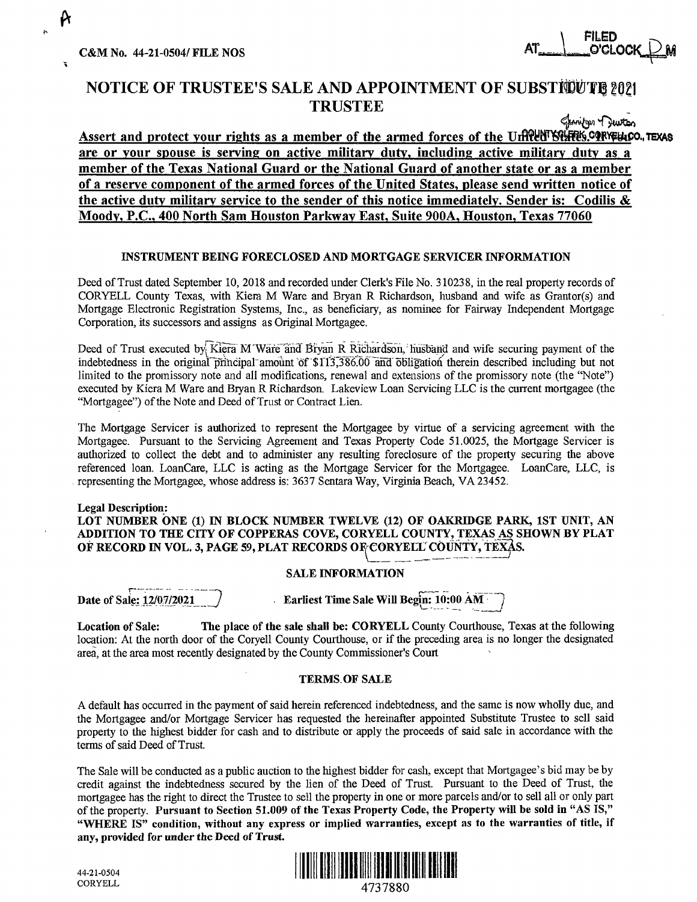C&M No. 44-21-0504/ FILE NOS ATn -·· J."53 -**O'CLoc¢M** 

\ FILED

# **NOTICE OF TRUSTEE'S SALE AND APPOINTMENT OF SUBSTICUTE 2021 TRUSTEE**

Assert and protect your rights as a member of the armed forces of the Urfflet **States.CIFFE4.co., TEXAS**<br>Assert and protect your rights as a member of the armed forces of the Urfflet States.CIFFE4.co., TEXAS **are or your spouse is serving on active military duty, including active military duty as a member of the Texas National Guard or the National Guard of another state or as a member of a reserve component of the armed forces of the United States, please send written notice of the active duty military service to the sender of this notice immediately. Sender is: Codilis** & **Moody, P.C., 400 North Sam Houston Parkway East, Suite 900A, Houston, Texas 77060** 

#### **INSTRUMENT BEING FORECLOSED AND MORTGAGE SERVICER INFORMATION**

Deed of Trust dated September 10, 2018 and recorded under Clerk's File No. 310238, in the real property records of CORYELL County Texas, with Kiera M Ware and Bryan R Richardson, husband and wife as Grantor(s) and Mortgage Electronic Registration Systems, Inc., as beneficiary, as nominee for Fairway Independent Mortgage Corporation, its successors and assigns as Original Mortgagee.

Deed of Trust executed by Kiera M'Ware and Bryan R Richardson, husband and wife securing payment of the indebtedness in the original principal amount of \$113,386.00 and obligation therein described including but not limited to the promissory note and all modifications, renewal and extensions of the promissory note (the "Note") executed by Kiera M Ware and Bryan R Richardson. Lakeview Loan Servicing LLC is the current mortgagee (the "Mortgagee") of the Note and Deed of Trust or Contract Lien.

The Mortgage Servicer is authorized to represent the Mortgagee by virtue of a servicing agreement with the Mortgagee. Pursuant to the Servicing Agreement and Texas Property Code 51.0025, the Mortgage Servicer is authorized to collect the debt and to administer any resulting foreclosure of the property securing the above referenced loan. LoanCare, LLC is acting as the Mortgage Servicer for the Mortgagee. LoanCare, LLC, is . representing the Mortgagee, whose address is: 3637 Sentara Way, Virginia Beach, VA 23452.

### **Legal Description: LOT NUMBER ONE (1)** IN **BLOCK NUMBER TWELVE (12) OF OAKRIDGE PARK, 1ST UNIT, AN ADDITION TO THE CITY OF COPPERAS COVE, CORYELL COUNTY, TEXAS AS SHOWN BY PLAT OF RECORD IN VOL. 3, PAGE 59, PLAT RECORDS OF CORYELL COUNTY, TEXAS.**

## **SALE INFORMATION**

Date of Sale: 12/07/2021

**Earliest Time Sale Will Begin: 10:00 AM** 

**Location of Sale: The place of the sale shall be: CORYELL** County Courthouse, Texas at the following location: At the north door of the Coryell County Courthouse, or if the preceding area is no longer the designated area, at the area most recently designated by the County Commissioner's Court

### **TERMS. OF SALE**

A default has occurred in the payment of said herein referenced indebtedness, and the same is now wholly due, and the Mortgagee and/or Mortgage Servicer has requested the hereinafter appointed Substitute Trustee to sell said property to the highest bidder for cash and to distribute or apply the proceeds of said sale in accordance with the terms of said Deed of Trust.

The Sale will be conducted as a public auction to the highest bidder for cash, except that Mortgagee's bid may be by credit against the indebtedness secured by the lien of the Deed of Trust. Pursuant to the Deed of Trust, the mortgagee has the right to direct the Trustee to sell the property in one or more parcels and/or to sell all or only part of the property. **Pursuant to Section 51.009 of the Texas Property Code, the Property will be sold in "AS IS," "WHERE IS" condition, without any express or implied warranties, except as to the warranties of title,** if **any, provided for under the Deed of Trust.**